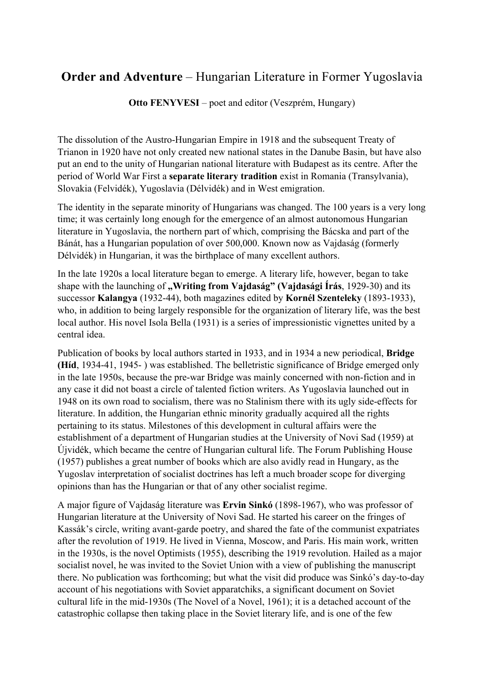## **Order and Adventure** – Hungarian Literature in Former Yugoslavia

**Otto FENYVESI** – poet and editor (Veszprém, Hungary)

The dissolution of the Austro-Hungarian Empire in 1918 and the subsequent Treaty of Trianon in 1920 have not only created new national states in the Danube Basin, but have also put an end to the unity of Hungarian national literature with Budapest as its centre. After the period of World War First a **separate literary tradition** exist in Romania (Transylvania), Slovakia (Felvidék), Yugoslavia (Délvidék) and in West emigration.

The identity in the separate minority of Hungarians was changed. The 100 years is a very long time; it was certainly long enough for the emergence of an almost autonomous Hungarian literature in Yugoslavia, the northern part of which, comprising the Bácska and part of the Bánát, has a Hungarian population of over 500,000. Known now as Vajdaság (formerly Délvidék) in Hungarian, it was the birthplace of many excellent authors.

In the late 1920s a local literature began to emerge. A literary life, however, began to take shape with the launching of **"Writing from Vajdaság" (Vajdasági Írás**, 1929-30) and its successor **Kalangya** (1932-44), both magazines edited by **Kornél Szenteleky** (1893-1933), who, in addition to being largely responsible for the organization of literary life, was the best local author. His novel Isola Bella (1931) is a series of impressionistic vignettes united by a central idea.

Publication of books by local authors started in 1933, and in 1934 a new periodical, **Bridge (Híd**, 1934-41, 1945- ) was established. The belletristic significance of Bridge emerged only in the late 1950s, because the pre-war Bridge was mainly concerned with non-fiction and in any case it did not boast a circle of talented fiction writers. As Yugoslavia launched out in 1948 on its own road to socialism, there was no Stalinism there with its ugly side-effects for literature. In addition, the Hungarian ethnic minority gradually acquired all the rights pertaining to its status. Milestones of this development in cultural affairs were the establishment of a department of Hungarian studies at the University of Novi Sad (1959) at Újvidék, which became the centre of Hungarian cultural life. The Forum Publishing House (1957) publishes a great number of books which are also avidly read in Hungary, as the Yugoslav interpretation of socialist doctrines has left a much broader scope for diverging opinions than has the Hungarian or that of any other socialist regime.

A major figure of Vajdaság literature was **Ervin Sinkó** (1898-1967), who was professor of Hungarian literature at the University of Novi Sad. He started his career on the fringes of Kassák's circle, writing avant-garde poetry, and shared the fate of the communist expatriates after the revolution of 1919. He lived in Vienna, Moscow, and Paris. His main work, written in the 1930s, is the novel Optimists (1955), describing the 1919 revolution. Hailed as a major socialist novel, he was invited to the Soviet Union with a view of publishing the manuscript there. No publication was forthcoming; but what the visit did produce was Sinkó's day-to-day account of his negotiations with Soviet apparatchiks, a significant document on Soviet cultural life in the mid-1930s (The Novel of a Novel, 1961); it is a detached account of the catastrophic collapse then taking place in the Soviet literary life, and is one of the few